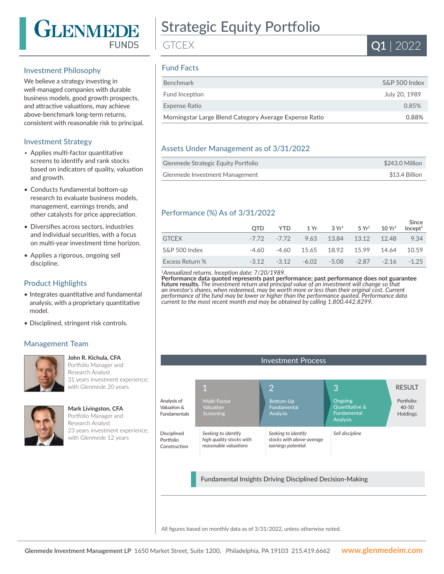

# Strategic Equity Portfolio

**GTCFX** 

# Fund Facts

| S&P 500 Index |
|---------------|
| July 20, 1989 |
| 0.85%         |
| 0.88%         |
|               |

#### Assets Under Management as of 3/31/2022

| Glenmede Strategic Equity Portfolio | \$243.0 Million |
|-------------------------------------|-----------------|
| Glenmede Investment Management      | \$13.4 Billion  |

#### Performance (%) As of 3/31/2022

|                 | <b>OTD</b> | <b>YTD</b>     |  | $1 \text{Yr}$ $3 \text{Yr}^1$ $5 \text{Yr}^1$ $10 \text{Yr}^1$ |       | Since<br>Incept <sup>1</sup> |
|-----------------|------------|----------------|--|----------------------------------------------------------------|-------|------------------------------|
| <b>GTCEX</b>    |            | -7.72 -7.72    |  | 9.63 13.84 13.12 12.48                                         |       | 9.34                         |
| S&P 500 Index   | -4.60      |                |  | -4.60 15.65 18.92 15.99                                        | 14.64 | 10.59                        |
| Excess Return % |            | $-3.12 - 3.12$ |  | $-6.02$ $-5.08$ $-2.87$ $-2.16$                                |       | $-1.25$                      |
|                 |            |                |  |                                                                |       |                              |

#### *<sup>1</sup>Annualized returns. Inception date: 7/20/1989.*

**Performance data quoted represents past performance; past performance does not guarantee future results.** *The investment return and principal value of an investment will change so that an investor's shares, when redeemed, may be worth more or less than their original cost. Current performance of the fund may be lower or higher than the performance quoted. Performance data current to the most recent month end may be obtained by calling 1.800.442.8299.*

#### Investment Process 1 2 3 Multi-Factor Valuation Screening *Seeking to identify high quality stocks with reasonable valuations* Analysis of Valuation & Fundamentals Disciplined Portfolio Construction Bottom-Up Fundamental Analysis *Seeking to identify stocks with above-average earnings potential* Ongoing Quantitative & Fundamental Analysis *Sell discipline* Fundamental Insights Driving Disciplined Decision-Making RESULT Portfolio: 40-50 Holdings

All figures based on monthly data as of 3/31/2022, unless otherwise noted.

## Investment Philosophy

We believe a strategy investing in well-managed companies with durable business models, good growth prospects, and attractive valuations, may achieve above-benchmark long-term returns, consistent with reasonable risk to principal.

#### Investment Strategy

- Applies multi-factor quantitative screens to identify and rank stocks based on indicators of quality, valuation and growth.
- Conducts fundamental bottom-up research to evaluate business models, management, earnings trends, and other catalysts for price appreciation.
- Diversifies across sectors, industries and individual securities, with a focus on multi-year investment time horizon.
- Applies a rigorous, ongoing sell discipline.

#### Product Highlights

- Integrates quantitative and fundamental analysis, with a proprietary quantitative model.
- Disciplined, stringent risk controls.

#### Management Team



#### **John R. Kichula, CFA**

**Mark Livingston, CFA**

Portfolio Manager and Research Analyst 31 years investment experience; with Glenmede 20 years



Portfolio Manager and Research Analyst 23 years investment experience; with Glenmede 12 years